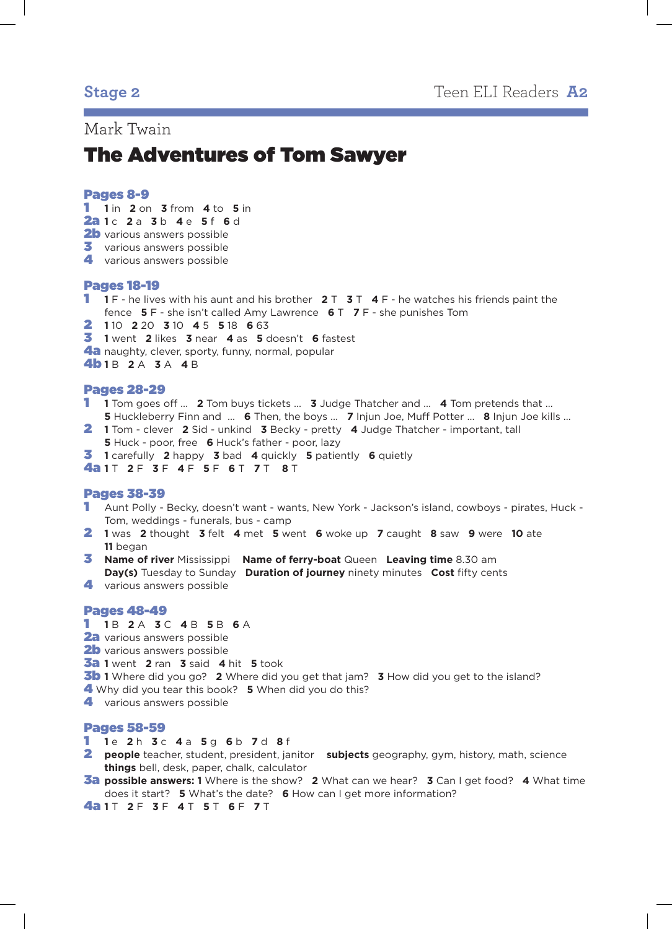# Mark Twain

# The Adventures of Tom Sawyer

# Pages 8-9

- 1 **1** in **2** on **3** from **4** to **5** in
- 2a **1** c **2** a **3** b **4** e **5** f **6** d
- 2b various answers possible
- **3** various answers possible
- 4 various answers possible

# Pages 18-19

- 1 **1** F he lives with his aunt and his brother **2** T **3** T **4** F he watches his friends paint the fence **5** F - she isn't called Amy Lawrence **6** T **7** F - she punishes Tom
- 2 **1** 10 **2** 20 **3** 10 **4** 5 **5** 18 **6** 63
- 3 **1** went **2** likes **3** near **4** as **5** doesn't **6** fastest
- 4a naughty, clever, sporty, funny, normal, popular
- 4b **1** B **2** A **3** A **4** B

# Pages 28-29

- 1 **1** Tom goes off ... **2** Tom buys tickets ... **3** Judge Thatcher and ... **4** Tom pretends that ... **5** Huckleberry Finn and ... **6** Then, the boys ... **7** Injun Joe, Muff Potter ... **8** Injun Joe kills ...
- 2 **1** Tom clever **2** Sid unkind **3** Becky pretty **4** Judge Thatcher important, tall **5** Huck - poor, free **6** Huck's father - poor, lazy
- 3 **1** carefully **2** happy **3** bad **4** quickly **5** patiently **6** quietly

4a **1** T **2** F **3** F **4** F **5** F **6** T **7** T **8** T

# Pages 38-39

- 1 Aunt Polly Becky, doesn't want wants, New York Jackson's island, cowboys pirates, Huck Tom, weddings - funerals, bus - camp
- 2 **1** was **2** thought **3** felt **4** met **5** went **6** woke up **7** caught **8** saw **9** were **10** ate **11** began
- 3 **Name of river** Mississippi **Name of ferry-boat** Queen **Leaving time** 8.30 am **Day(s)** Tuesday to Sunday **Duration of journey** ninety minutes **Cost** fifty cents
- 4 various answers possible

# Pages 48-49

- 1 **1** B **2** A **3** C **4** B **5** B **6** A
- 2a various answers possible
- 2b various answers possible
- 3a **1** went **2** ran **3** said **4** hit **5** took
- 3b **1** Where did you go? **2** Where did you get that jam? **3** How did you get to the island?
- 4 Why did you tear this book? **5** When did you do this?
- 4 various answers possible

## Pages 58-59

- 1 **1** e **2** h **3** c **4** a **5** g **6** b **7** d **8** f
- 2 **people** teacher, student, president, janitor **subjects** geography, gym, history, math, science **things** bell, desk, paper, chalk, calculator
- 3a **possible answers: 1** Where is the show? **2** What can we hear? **3** Can I get food? **4** What time does it start? **5** What's the date? **6** How can I get more information?

4a **1** T **2** F **3** F **4** T **5** T **6** F **7** T